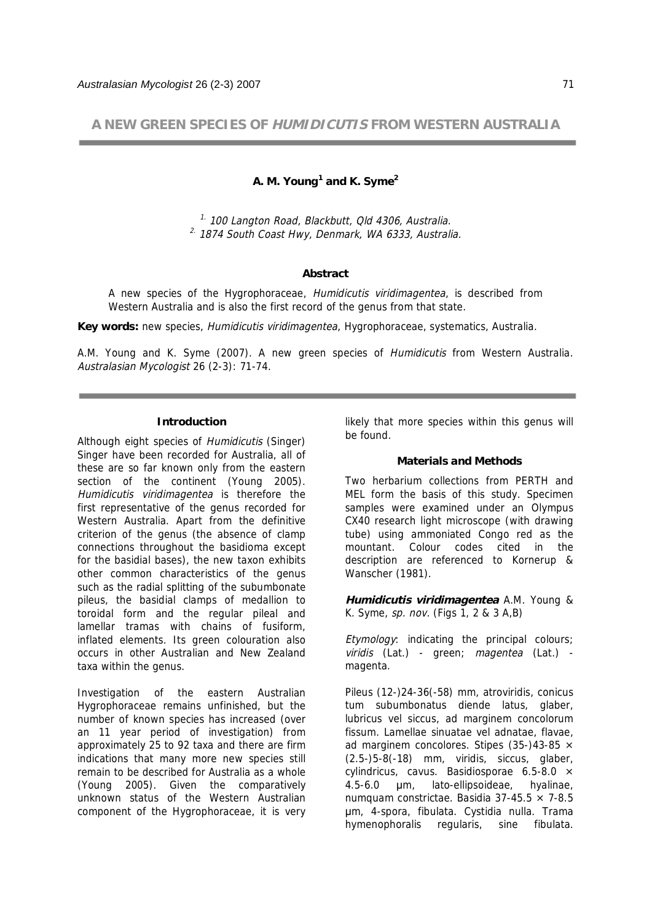**A NEW GREEN SPECIES OF HUMIDICUTIS FROM WESTERN AUSTRALIA** 

# **A. M. Young<sup>1</sup> and K. Syme2**

 $1.100$  Langton Road, Blackbutt, Qld 4306, Australia.  $2.$  1874 South Coast Hwy, Denmark, WA 6333, Australia.

#### **Abstract**

A new species of the Hygrophoraceae, *Humidicutis viridimagentea*, is described from Western Australia and is also the first record of the genus from that state.

**Key words:** new species, Humidicutis viridimagentea, Hygrophoraceae, systematics, Australia.

A.M. Young and K. Syme (2007). A new green species of Humidicutis from Western Australia. Australasian Mycologist 26 (2-3): 71-74.

#### **Introduction**

Although eight species of Humidicutis (Singer) Singer have been recorded for Australia, all of these are so far known only from the eastern section of the continent (Young 2005). Humidicutis viridimagentea is therefore the first representative of the genus recorded for Western Australia. Apart from the definitive criterion of the genus (the absence of clamp connections throughout the basidioma except for the basidial bases), the new taxon exhibits other common characteristics of the genus such as the radial splitting of the subumbonate pileus, the basidial clamps of medallion to toroidal form and the regular pileal and lamellar tramas with chains of fusiform, inflated elements. Its green colouration also occurs in other Australian and New Zealand taxa within the genus.

Investigation of the eastern Australian Hygrophoraceae remains unfinished, but the number of known species has increased (over an 11 year period of investigation) from approximately 25 to 92 taxa and there are firm indications that many more new species still remain to be described for Australia as a whole (Young 2005). Given the comparatively unknown status of the Western Australian component of the Hygrophoraceae, it is very

likely that more species within this genus will be found.

### **Materials and Methods**

Two herbarium collections from PERTH and MEL form the basis of this study. Specimen samples were examined under an Olympus CX40 research light microscope (with drawing tube) using ammoniated Congo red as the mountant. Colour codes cited in the description are referenced to Kornerup & Wanscher (1981).

**Humidicutis viridimagentea** A.M. Young & K. Syme, sp. nov. (Figs 1, 2 & 3 A,B)

Etymology: indicating the principal colours; viridis (Lat.) - green; magentea (Lat.) magenta.

Pileus (12-)24-36(-58) mm, atroviridis, conicus tum subumbonatus diende latus, glaber, lubricus vel siccus, ad marginem concolorum fissum. Lamellae sinuatae vel adnatae, flavae, ad marginem concolores. Stipes (35-)43-85  $\times$ (2.5-)5-8(-18) mm, viridis, siccus, glaber, cylindricus, cavus. Basidiosporae  $6.5-8.0 \times$ 4.5-6.0 m, lato-ellipsoideae, hyalinae, numquam constrictae. Basidia 37-45.5  $\times$  7-8.5 m, 4-spora, fibulata. Cystidia nulla. Trama hymenophoralis regularis, sine fibulata.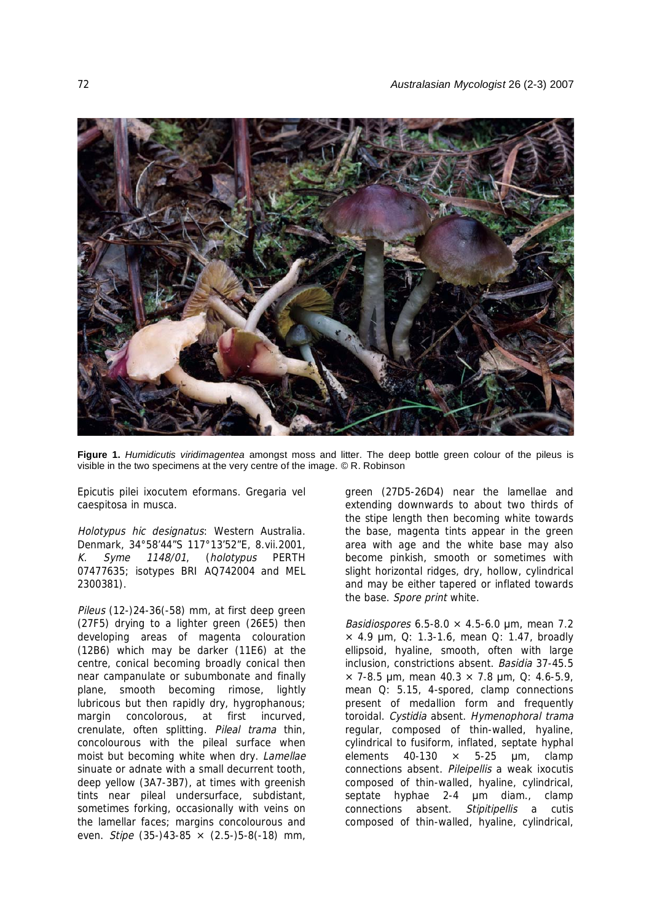

**Figure 1.** *Humidicutis viridimagentea* amongst moss and litter. The deep bottle green colour of the pileus is visible in the two specimens at the very centre of the image. © R. Robinson

Epicutis pilei ixocutem eformans. Gregaria vel caespitosa in musca.

Holotypus hic designatus: Western Australia. Denmark, 34°58'44"S 117°13'52"E, 8.vii.2001, K. Syme 1148/01, (holotypus PERTH 07477635; isotypes BRI AQ742004 and MEL 2300381).

Pileus (12-)24-36(-58) mm, at first deep green (27F5) drying to a lighter green (26E5) then developing areas of magenta colouration (12B6) which may be darker (11E6) at the centre, conical becoming broadly conical then near campanulate or subumbonate and finally plane, smooth becoming rimose, lightly lubricous but then rapidly dry, hygrophanous; margin concolorous, at first incurved, crenulate, often splitting. Pileal trama thin, concolourous with the pileal surface when moist but becoming white when dry. Lamellae sinuate or adnate with a small decurrent tooth, deep yellow (3A7-3B7), at times with greenish tints near pileal undersurface, subdistant, sometimes forking, occasionally with veins on the lamellar faces; margins concolourous and even. Stipe (35-)43-85 × (2.5-)5-8(-18) mm,

green (27D5-26D4) near the lamellae and extending downwards to about two thirds of the stipe length then becoming white towards the base, magenta tints appear in the green area with age and the white base may also become pinkish, smooth or sometimes with slight horizontal ridges, dry, hollow, cylindrical and may be either tapered or inflated towards the base. Spore print white.

Basidiospores 6.5-8.0 × 4.5-6.0 µm, mean 7.2  $\times$  4.9 µm, Q: 1.3-1.6, mean Q: 1.47, broadly ellipsoid, hyaline, smooth, often with large inclusion, constrictions absent. Basidia 37-45.5  $\times$  7-8.5 µm, mean 40.3  $\times$  7.8 µm, Q: 4.6-5.9, mean Q: 5.15, 4-spored, clamp connections present of medallion form and frequently toroidal. Cystidia absent. Hymenophoral trama regular, composed of thin-walled, hyaline, cylindrical to fusiform, inflated, septate hyphal elements  $40-130 \times 5-25 \mu m$ , clamp connections absent. Pileipellis a weak ixocutis composed of thin-walled, hyaline, cylindrical, septate hyphae 2-4 um diam., clamp connections absent. Stipitipellis a cutis composed of thin-walled, hyaline, cylindrical,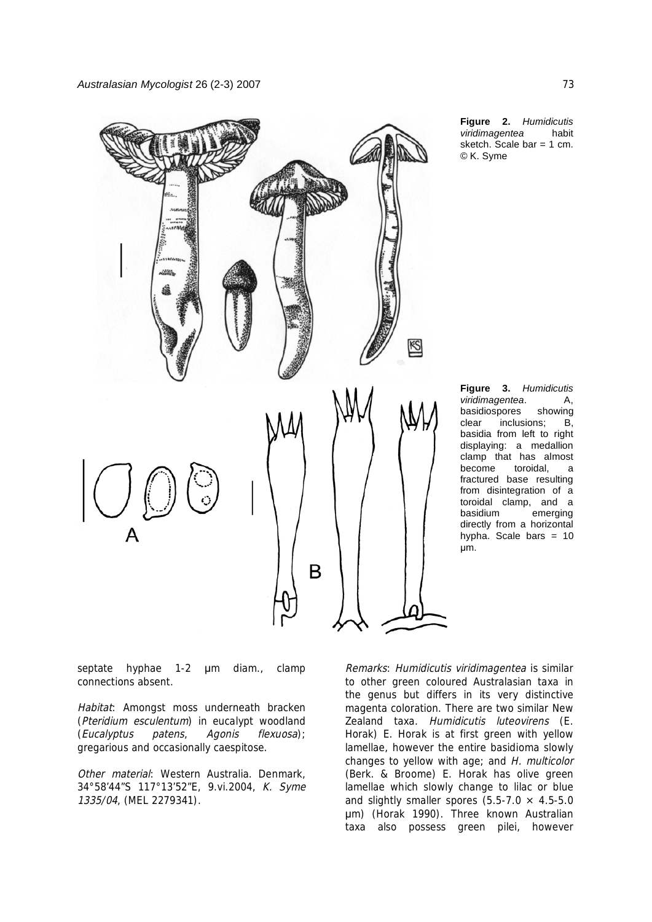

**Figure 2.** *Humidicutis viridimagentea* habit sketch. Scale bar  $= 1$  cm. © K. Syme

**Figure 3.** *Humidicutis viridimagentea*. A, basidiospores showing clear inclusions; B, basidia from left to right displaying: a medallion clamp that has almost become toroidal, a fractured base resulting from disintegration of a toroidal clamp, and a basidium emerging directly from a horizontal hypha. Scale bars  $= 10$ um.

septate hyphae 1-2 um diam., clamp connections absent.

Habitat: Amongst moss underneath bracken (Pteridium esculentum) in eucalypt woodland (Eucalyptus patens, Agonis flexuosa); gregarious and occasionally caespitose.

Other material: Western Australia. Denmark. 34°58'44"S 117°13'52"E, 9.vi.2004, K. Syme 1335/04, (MEL 2279341).

Remarks: Humidicutis viridimagentea is similar to other green coloured Australasian taxa in the genus but differs in its very distinctive magenta coloration. There are two similar New Zealand taxa. Humidicutis luteovirens (E. Horak) E. Horak is at first green with yellow lamellae, however the entire basidioma slowly changes to yellow with age; and H. multicolor (Berk. & Broome) E. Horak has olive green lamellae which slowly change to lilac or blue and slightly smaller spores  $(5.5-7.0 \times 4.5-5.0$ m) (Horak 1990). Three known Australian taxa also possess green pilei, however